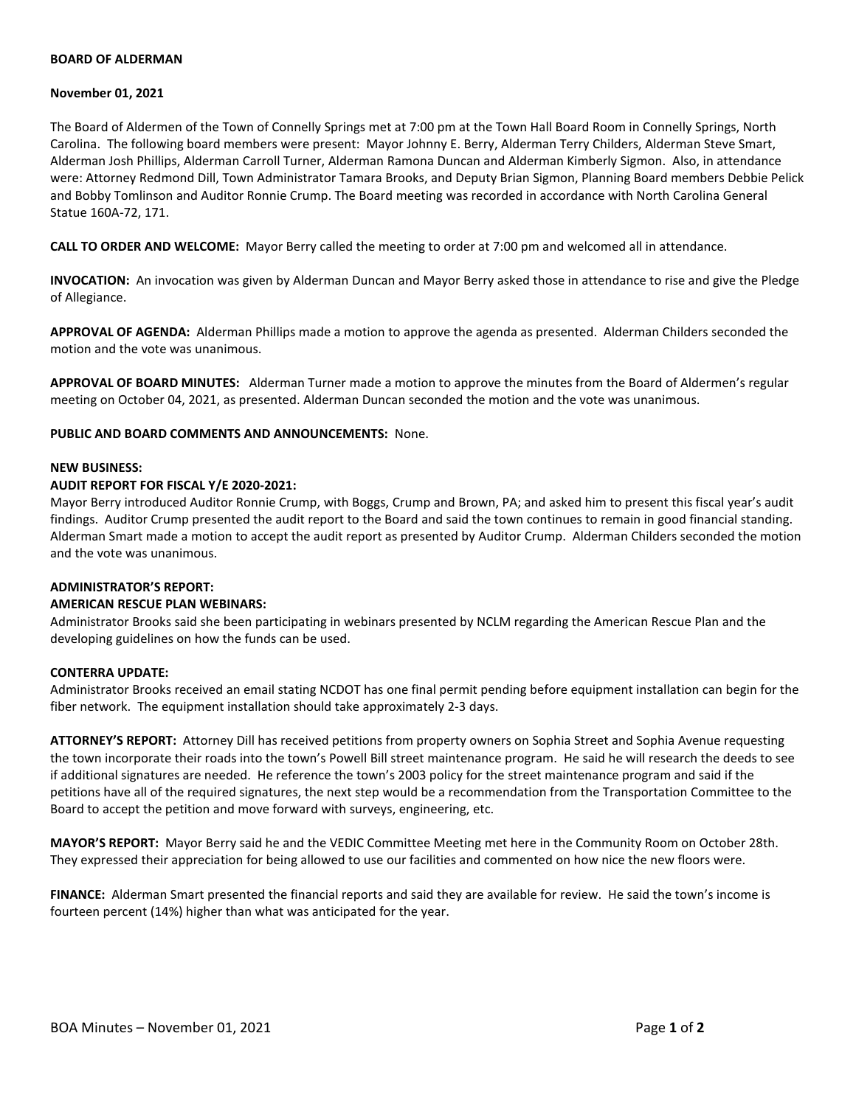# **BOARD OF ALDERMAN**

#### **November 01, 2021**

The Board of Aldermen of the Town of Connelly Springs met at 7:00 pm at the Town Hall Board Room in Connelly Springs, North Carolina. The following board members were present: Mayor Johnny E. Berry, Alderman Terry Childers, Alderman Steve Smart, Alderman Josh Phillips, Alderman Carroll Turner, Alderman Ramona Duncan and Alderman Kimberly Sigmon. Also, in attendance were: Attorney Redmond Dill, Town Administrator Tamara Brooks, and Deputy Brian Sigmon, Planning Board members Debbie Pelick and Bobby Tomlinson and Auditor Ronnie Crump. The Board meeting was recorded in accordance with North Carolina General Statue 160A-72, 171.

**CALL TO ORDER AND WELCOME:** Mayor Berry called the meeting to order at 7:00 pm and welcomed all in attendance.

**INVOCATION:** An invocation was given by Alderman Duncan and Mayor Berry asked those in attendance to rise and give the Pledge of Allegiance.

**APPROVAL OF AGENDA:** Alderman Phillips made a motion to approve the agenda as presented. Alderman Childers seconded the motion and the vote was unanimous.

**APPROVAL OF BOARD MINUTES:** Alderman Turner made a motion to approve the minutes from the Board of Aldermen's regular meeting on October 04, 2021, as presented. Alderman Duncan seconded the motion and the vote was unanimous.

**PUBLIC AND BOARD COMMENTS AND ANNOUNCEMENTS:** None.

#### **NEW BUSINESS:**

# **AUDIT REPORT FOR FISCAL Y/E 2020-2021:**

Mayor Berry introduced Auditor Ronnie Crump, with Boggs, Crump and Brown, PA; and asked him to present this fiscal year's audit findings. Auditor Crump presented the audit report to the Board and said the town continues to remain in good financial standing. Alderman Smart made a motion to accept the audit report as presented by Auditor Crump. Alderman Childers seconded the motion and the vote was unanimous.

# **ADMINISTRATOR'S REPORT:**

# **AMERICAN RESCUE PLAN WEBINARS:**

Administrator Brooks said she been participating in webinars presented by NCLM regarding the American Rescue Plan and the developing guidelines on how the funds can be used.

# **CONTERRA UPDATE:**

Administrator Brooks received an email stating NCDOT has one final permit pending before equipment installation can begin for the fiber network. The equipment installation should take approximately 2-3 days.

**ATTORNEY'S REPORT:** Attorney Dill has received petitions from property owners on Sophia Street and Sophia Avenue requesting the town incorporate their roads into the town's Powell Bill street maintenance program. He said he will research the deeds to see if additional signatures are needed. He reference the town's 2003 policy for the street maintenance program and said if the petitions have all of the required signatures, the next step would be a recommendation from the Transportation Committee to the Board to accept the petition and move forward with surveys, engineering, etc.

**MAYOR'S REPORT:** Mayor Berry said he and the VEDIC Committee Meeting met here in the Community Room on October 28th. They expressed their appreciation for being allowed to use our facilities and commented on how nice the new floors were.

**FINANCE:** Alderman Smart presented the financial reports and said they are available for review. He said the town's income is fourteen percent (14%) higher than what was anticipated for the year.